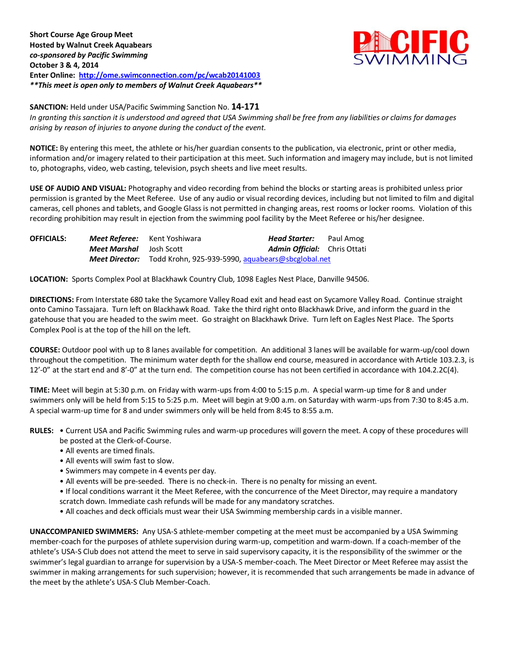

#### **SANCTION:** Held under USA/Pacific Swimming Sanction No. **14-171**

*In granting this sanction it is understood and agreed that USA Swimming shall be free from any liabilities or claims for damages arising by reason of injuries to anyone during the conduct of the event.*

**NOTICE:** By entering this meet, the athlete or his/her guardian consents to the publication, via electronic, print or other media, information and/or imagery related to their participation at this meet. Such information and imagery may include, but is not limited to, photographs, video, web casting, television, psych sheets and live meet results.

**USE OF AUDIO AND VISUAL:** Photography and video recording from behind the blocks or starting areas is prohibited unless prior permission is granted by the Meet Referee. Use of any audio or visual recording devices, including but not limited to film and digital cameras, cell phones and tablets, and Google Glass is not permitted in changing areas, rest rooms or locker rooms. Violation of this recording prohibition may result in ejection from the swimming pool facility by the Meet Referee or his/her designee.

| <b>OFFICIALS:</b> |                                | <b>Meet Referee:</b> Kent Yoshiwara                              | Head Starter:                       | Paul Amog |  |  |  |
|-------------------|--------------------------------|------------------------------------------------------------------|-------------------------------------|-----------|--|--|--|
|                   | <b>Meet Marshal</b> Josh Scott |                                                                  | <b>Admin Official:</b> Chris Ottati |           |  |  |  |
|                   |                                | Meet Director: Todd Krohn, 925-939-5990, aquabears@sbcglobal.net |                                     |           |  |  |  |

**LOCATION:** Sports Complex Pool at Blackhawk Country Club, 1098 Eagles Nest Place, Danville 94506.

**DIRECTIONS:** From Interstate 680 take the Sycamore Valley Road exit and head east on Sycamore Valley Road. Continue straight onto Camino Tassajara. Turn left on Blackhawk Road. Take the third right onto Blackhawk Drive, and inform the guard in the gatehouse that you are headed to the swim meet. Go straight on Blackhawk Drive. Turn left on Eagles Nest Place. The Sports Complex Pool is at the top of the hill on the left.

**COURSE:** Outdoor pool with up to 8 lanes available for competition. An additional 3 lanes will be available for warm-up/cool down throughout the competition. The minimum water depth for the shallow end course, measured in accordance with Article 103.2.3, is 12'-0" at the start end and 8'-0" at the turn end. The competition course has not been certified in accordance with 104.2.2C(4).

**TIME:** Meet will begin at 5:30 p.m. on Friday with warm-ups from 4:00 to 5:15 p.m. A special warm-up time for 8 and under swimmers only will be held from 5:15 to 5:25 p.m. Meet will begin at 9:00 a.m. on Saturday with warm-ups from 7:30 to 8:45 a.m. A special warm-up time for 8 and under swimmers only will be held from 8:45 to 8:55 a.m.

**RULES:** • Current USA and Pacific Swimming rules and warm-up procedures will govern the meet. A copy of these procedures will be posted at the Clerk-of-Course.

- All events are timed finals.
- All events will swim fast to slow.
- Swimmers may compete in 4 events per day.
- All events will be pre-seeded. There is no check-in. There is no penalty for missing an event.
- If local conditions warrant it the Meet Referee, with the concurrence of the Meet Director, may require a mandatory scratch down. Immediate cash refunds will be made for any mandatory scratches.
- All coaches and deck officials must wear their USA Swimming membership cards in a visible manner.

**UNACCOMPANIED SWIMMERS:** Any USA-S athlete-member competing at the meet must be accompanied by a USA Swimming member-coach for the purposes of athlete supervision during warm-up, competition and warm-down. If a coach-member of the athlete's USA-S Club does not attend the meet to serve in said supervisory capacity, it is the responsibility of the swimmer or the swimmer's legal guardian to arrange for supervision by a USA-S member-coach. The Meet Director or Meet Referee may assist the swimmer in making arrangements for such supervision; however, it is recommended that such arrangements be made in advance of the meet by the athlete's USA-S Club Member-Coach.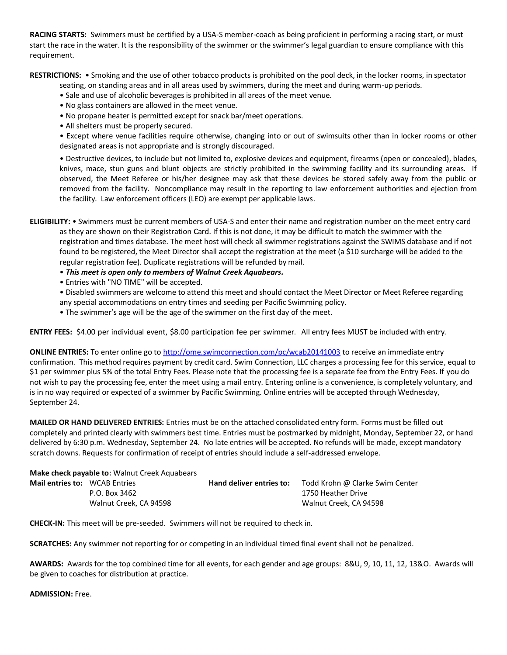**RACING STARTS:** Swimmers must be certified by a USA-S member-coach as being proficient in performing a racing start, or must start the race in the water. It is the responsibility of the swimmer or the swimmer's legal guardian to ensure compliance with this requirement.

**RESTRICTIONS:** • Smoking and the use of other tobacco products is prohibited on the pool deck, in the locker rooms, in spectator

seating, on standing areas and in all areas used by swimmers, during the meet and during warm-up periods.

- Sale and use of alcoholic beverages is prohibited in all areas of the meet venue.
- No glass containers are allowed in the meet venue.
- No propane heater is permitted except for snack bar/meet operations.
- All shelters must be properly secured.

• Except where venue facilities require otherwise, changing into or out of swimsuits other than in locker rooms or other designated areas is not appropriate and is strongly discouraged.

• Destructive devices, to include but not limited to, explosive devices and equipment, firearms (open or concealed), blades, knives, mace, stun guns and blunt objects are strictly prohibited in the swimming facility and its surrounding areas. If observed, the Meet Referee or his/her designee may ask that these devices be stored safely away from the public or removed from the facility. Noncompliance may result in the reporting to law enforcement authorities and ejection from the facility. Law enforcement officers (LEO) are exempt per applicable laws.

- **ELIGIBILITY:** Swimmers must be current members of USA-S and enter their name and registration number on the meet entry card as they are shown on their Registration Card. If this is not done, it may be difficult to match the swimmer with the registration and times database. The meet host will check all swimmer registrations against the SWIMS database and if not found to be registered, the Meet Director shall accept the registration at the meet (a \$10 surcharge will be added to the regular registration fee). Duplicate registrations will be refunded by mail.
	- *This meet is open only to members of Walnut Creek Aquabears.*
	- Entries with "NO TIME" will be accepted.
	- Disabled swimmers are welcome to attend this meet and should contact the Meet Director or Meet Referee regarding any special accommodations on entry times and seeding per Pacific Swimming policy.
	- The swimmer's age will be the age of the swimmer on the first day of the meet.

**ENTRY FEES:** \$4.00 per individual event, \$8.00 participation fee per swimmer. All entry fees MUST be included with entry.

**ONLINE ENTRIES:** To enter online go t[o http://ome.swimconnection.com/pc/wcab20141003](http://ome.swimconnection.com/pc/wcab20141003) to receive an immediate entry confirmation. This method requires payment by credit card. Swim Connection, LLC charges a processing fee for this service, equal to \$1 per swimmer plus 5% of the total Entry Fees. Please note that the processing fee is a separate fee from the Entry Fees. If you do not wish to pay the processing fee, enter the meet using a mail entry. Entering online is a convenience, is completely voluntary, and is in no way required or expected of a swimmer by Pacific Swimming. Online entries will be accepted through Wednesday, September 24.

**MAILED OR HAND DELIVERED ENTRIES:** Entries must be on the attached consolidated entry form. Forms must be filled out completely and printed clearly with swimmers best time. Entries must be postmarked by midnight, Monday, September 22, or hand delivered by 6:30 p.m. Wednesday, September 24. No late entries will be accepted. No refunds will be made, except mandatory scratch downs. Requests for confirmation of receipt of entries should include a self-addressed envelope.

|                                      | Make check payable to: Walnut Creek Aquabears |                          |                                 |
|--------------------------------------|-----------------------------------------------|--------------------------|---------------------------------|
| <b>Mail entries to: WCAB Entries</b> |                                               | Hand deliver entries to: | Todd Krohn @ Clarke Swim Center |
|                                      | P.O. Box 3462                                 |                          | 1750 Heather Drive              |
|                                      | Walnut Creek, CA 94598                        |                          | Walnut Creek, CA 94598          |

**CHECK-IN:** This meet will be pre-seeded. Swimmers will not be required to check in.

**SCRATCHES:** Any swimmer not reporting for or competing in an individual timed final event shall not be penalized.

**AWARDS:** Awards for the top combined time for all events, for each gender and age groups: 8&U, 9, 10, 11, 12, 13&O. Awards will be given to coaches for distribution at practice.

**ADMISSION:** Free.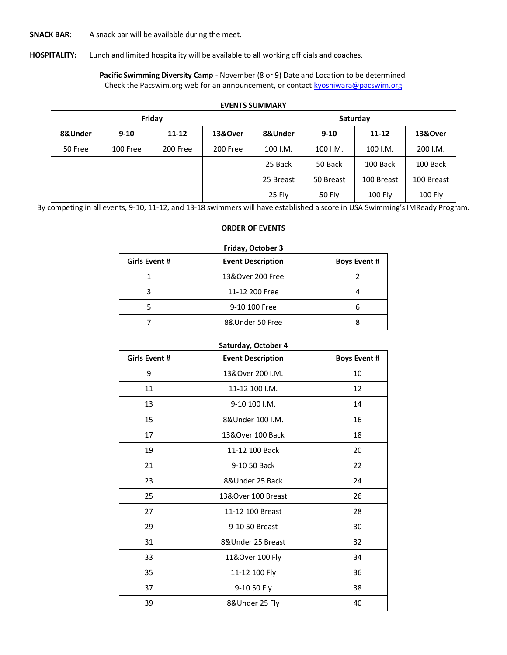**SNACK BAR:** A snack bar will be available during the meet.

**HOSPITALITY:** Lunch and limited hospitality will be available to all working officials and coaches.

**Pacific Swimming Diversity Camp** - November (8 or 9) Date and Location to be determined. Check the Pacswim.org web for an announcement, or contact [kyoshiwara@pacswim.org](mailto:kyoshiwara@pacswim.org)

## **EVENTS SUMMARY**

|                                             |          | Friday   |          | Saturday  |           |            |            |  |  |
|---------------------------------------------|----------|----------|----------|-----------|-----------|------------|------------|--|--|
| 8&Under<br>13&Over<br>$9 - 10$<br>$11 - 12$ |          | 8&Under  | $9 - 10$ | $11 - 12$ | 13&Over   |            |            |  |  |
| 50 Free                                     | 100 Free | 200 Free | 200 Free | 100 I.M.  | 100 I.M.  | 100 I.M.   | 200 I.M.   |  |  |
|                                             |          |          |          | 25 Back   | 50 Back   | 100 Back   | 100 Back   |  |  |
|                                             |          |          |          | 25 Breast | 50 Breast | 100 Breast | 100 Breast |  |  |
|                                             |          |          |          | 25 Fly    | 50 Fly    | $100$ Fly  | $100$ Fly  |  |  |

By competing in all events, 9-10, 11-12, and 13-18 swimmers will have established a score in USA Swimming's IMReady Program.

## **ORDER OF EVENTS**

| <b>FINAY, OLLUNGI J</b> |                          |                     |  |  |  |  |  |  |  |
|-------------------------|--------------------------|---------------------|--|--|--|--|--|--|--|
| Girls Event #           | <b>Event Description</b> | <b>Boys Event #</b> |  |  |  |  |  |  |  |
|                         | 13&Over 200 Free         |                     |  |  |  |  |  |  |  |
|                         | 11-12 200 Free           |                     |  |  |  |  |  |  |  |
|                         | 9-10 100 Free            | b                   |  |  |  |  |  |  |  |
|                         | 8&Under 50 Free          |                     |  |  |  |  |  |  |  |

#### **Saturday, October 4**

| Girls Event # | <b>Event Description</b> | <b>Boys Event #</b> |
|---------------|--------------------------|---------------------|
| 9             | 13&Over 200 I.M.         | 10                  |
| 11            | 11-12 100 I.M.           | 12                  |
| 13            | 9-10 100 I.M.            | 14                  |
| 15            | 8& Under 100 I.M.        | 16                  |
| 17            | 13&Over 100 Back         | 18                  |
| 19            | 11-12 100 Back           | 20                  |
| 21            | 9-10 50 Back             | 22                  |
| 23            | 8&Under 25 Back          | 24                  |
| 25            | 13&Over 100 Breast       | 26                  |
| 27            | 11-12 100 Breast         | 28                  |
| 29            | 9-10 50 Breast           | 30                  |
| 31            | 8&Under 25 Breast        | 32                  |
| 33            | 11&Over 100 Fly          | 34                  |
| 35            | 11-12 100 Fly            | 36                  |
| 37            | 9-10 50 Fly              | 38                  |
| 39            | 8&Under 25 Fly           | 40                  |

# **Friday, October 3**